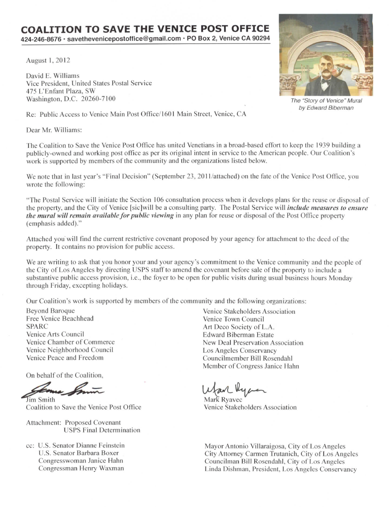August I, 2012

David E. Williams Vice President, United States Postal Service 475 L'Enfant Plaza, SW Washington, D.C. 20260-7100

Re: Public Access to Venice Main Post Office/1601 Main Street, Venice, CA

Dear Mr. Williams:

The Coalition to Save the Venice Post Office has united Venetians in a broad-based effort to keep the 1939 building a publicly-owned and working post office as per its original intent in service to the American people. Our Coalition's work is supported by members of the community and the organizations listed below.

We note that in last year's "Final Decision" (September 23, 2011/attached) on the fate of the Venice Post Office, you wrote the following:

"The Postal Service will initiate the Section 106 consultation process when it develops plans for the reuse or disposal of the property, and the City of Venice [sic]will be a consulting party. The Postal Service will *include measures to ensure the mural will remain available for public viewing* in any plan for reuse or disposal of the Post Office property (emphasis added)."

Attached you will find the current restrictive covenant proposed by your agency for attachment to the deed of the property. It contains no provision for public access.

We are writing to ask that you honor your and your agency's commitment to the Venice community and the people of the City of Los Angeles by directing USPS staff to amend the covenant before sale of the property to include a substantive public access provision, i.e., the foyer to be open for public visits during usual business hours Monday through Friday, excepting holidays.

Our Coalition's work is supported by members of the community and the following organizations:

Beyond Baroque Free Venice Beachhead **SPARC** Venice Arts Council Venice Chamber of Commerce Venice Neighborhood Council Venice Peace and Freedom

On behalf of the Coalition,

lim Smith

Coalition to Save the Venice Post Office

Attachment: Proposed Covenant USPS Final Determination

cc: U.S. Senator Dianne Feinstein U.S. Senator Barbara Boxer Congresswoman Janice Hahn Congressman Henry Waxman

Venice Stakeholders Association Venice Town Council Art Deco Society of L.A. Edward Biberman Estate New Deal Preservation Association Los Angeles Conservancy Councilmember Bill Rosendahl Member of Congress Janice Hahn

Mark Ryavec Venice Stakeholders Association

Mayor Antonio Villaraigosa, City of Los Angeles City Attorney Carmen Trutanich, City of Los Angeles Councilman Bill Rosendahl, City of Los Angeles Linda Dishman, President, Los Angeles Conservancy



*The "Story of Venice" Mural by Edward Biberman*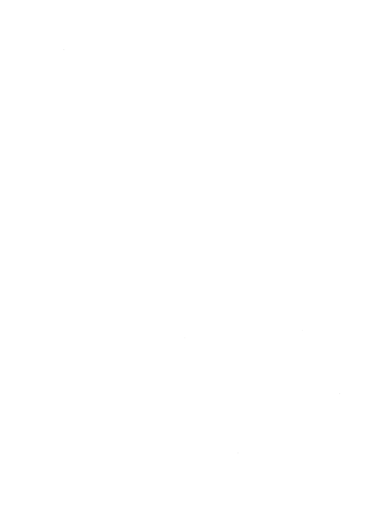$\label{eq:2.1} \frac{1}{\sqrt{2}}\int_{\mathbb{R}^3}\frac{1}{\sqrt{2}}\left(\frac{1}{\sqrt{2}}\right)^2\frac{1}{\sqrt{2}}\left(\frac{1}{\sqrt{2}}\right)^2\frac{1}{\sqrt{2}}\left(\frac{1}{\sqrt{2}}\right)^2\frac{1}{\sqrt{2}}\left(\frac{1}{\sqrt{2}}\right)^2.$ 

 $\label{eq:2.1} \frac{1}{\sqrt{2}}\int_{\mathbb{R}^3}\frac{1}{\sqrt{2}}\left(\frac{1}{\sqrt{2}}\right)^2\frac{1}{\sqrt{2}}\left(\frac{1}{\sqrt{2}}\right)^2\frac{1}{\sqrt{2}}\left(\frac{1}{\sqrt{2}}\right)^2.$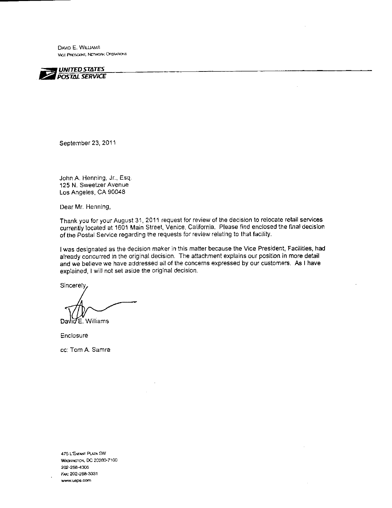DAVID E. WILLIAMS VICE PRESIDENT, NETWORK OPERATIONS



September 23, 2011

John A. Henning, Jr., Esq. 125 N. Sweetzer Avenue Los Angeles. CA 90048

Dear Mr. Henning,

Thank you for your August 31, 2011 request for review of the decision to relocate retail services currently located at 1601 Main Street, Venice, California. Please find enclosed the final decision of the Postal Service regarding the requests for review relating to that facility.

I was designated as the decision maker in this matter because the Vice President, Facilities, had already concurred in the original decision. The attachment explains our position in more detail and we believe we have addressed all of the concerns expressed by our customers. As I have explained, I will not set aside the original decision.

**Sincerely** 

David<sup>T</sup>E. Williams

Enclosure

cc: Tom A. Samra

475 L'ENFANT PLAZA SW WASHNCTON, DC 20260-7100 202-268-4305 FAX: 202-268-3331 www.usp3.com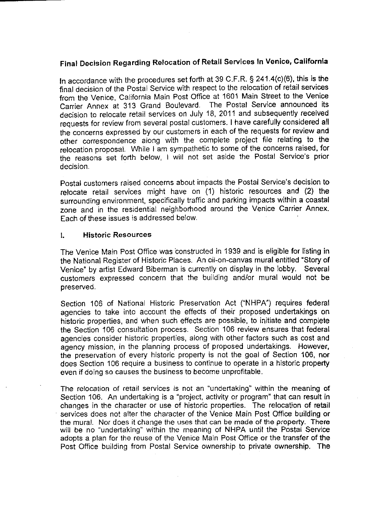## Final Decision Regarding Relocation of Retail Services in Venice, California

In accordance with the procedures set forth at 39 C.F.R. § 241.4(c)(6). this is the final decision of the Postal Service with respect to the relocation of retail services from the Venice, California Main Post Office at 1601 Main Street to the Venice Carrier Annex at 313 Grand Boulevard. The Postal Service announced its decision to relocate retail services on July 18, 2011 and subsequently received requests for review from several postal customers. I have carefully considered all the concerns expressed by our customers in each of the requests for review and other correspondence along with the complete project file relating to the relocation proposal. While I am sympathetic to some of the concerns raised, for the reasons set forth below, I will not set aside the Postal Service's prior decision.

Postal customers raised concerns about impacts the Postal Service's decision to relocate retail services might have on (1) historic resources and (2) the surrounding environment, specifically traffic and parking impacts within a coastal zone and in the residential neighborhood around the Venice Carrier Annex. Each of these issues is addressed below.

#### 1. Historic Resources

The Venice Main Post Office was constructed in 1939 and is eligible for listing in the National Register of Historic Places. An oil-on-canvas mural entitled "Story of Venice" by artist Edward Biberman is currently on display in the lobby. Several customers expressed concern that the building and/or mural would not be preserved.

Section 106 of National Historic Preservation Act ("NHPA") requires federal agencies to take into account the effects of their proposed undertakings on historic properties, and when such effects are possible, to initiate and complete the Section 106 consultation process. Section 106 review ensures that federal agencies consider historic properties, along with other factors such as cost and agency mission, in the planning process of proposed undertakings. However, the preservation of every historic property is not the goal of Section 106, nor does Section 106 require a business to continue to operate in a historic property even if doing so causes the business to become unprofitable.

The relocation of retail services is not an "undertaking" within the meaning of Section 106. An undertaking is a "project, activity or program" that can result in changes in the character or use of historic properties. The relocation of retail services does not alter the character of the Venice Main Post Office building or the mural. Nor does it change the uses that can be made of the property. There will be no "undertaking" within the meaning of NHPA until the Postal Service adopts a plan for the reuse of the Venice Main Post Office or the transfer of the Post Office building from Postal Service ownership to private ownership. The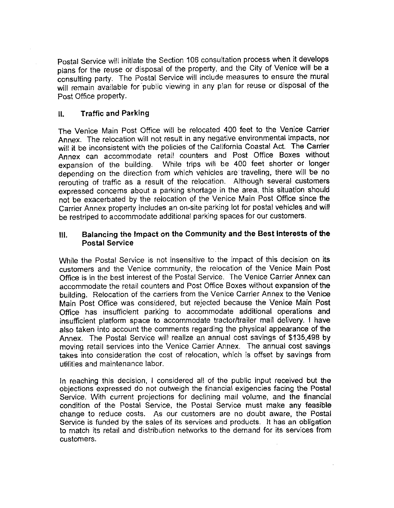Postal Service will initiate the Section 106 consultation process when it develops plans for the reuse or disposal of the property, and the City of Venice will be a consulting party. The Postal Service will include measures to ensure the mural will remain available for public viewing in any plan for reuse or disposal of the Post Office property.

#### II. Traffic and Parking

The Venice Main Post Office will be relocated 400 feet to the Venice Carrier Annex, The relocation will not result in any negative environmental impacts, nor will it be inconsistent with the policies of the California Coastal Act. The Carrier Annex can accommodate retail counters and Post Office Boxes without expansion of the building. While trips will be 400 feet shorter or longer depending on the direction from which vehicles are traveling, there will be no rerouting of traffic as a result of the relocation. Although several customers expressed concerns about a parking shortage in the area, this situation should not be exacerbated by the relocation of the Venice Main Post Office since the Carrier Annex property includes an on-site parking lot for postal vehicles, and will be restriped to accommodate additional parking spaces for our customers.

#### III. Balancing the Impact on the Community and the Best Interests of the Postal Service

While the Postal Service is not insensitive to the impact of this decision on its customers and the Venice community, the relocation of the Venice Main Post Office is in the best interest of the Postal Service. The Venice Carrier Annex can accommodate the retail counters and Post Office Boxes without expansion of the building. Relocation of the carriers from the Venice Carrier Annex to the Venice Main Post Office was considered, but rejected because the Venice Main Post Office has insufficient parking to accommodate additional operations and insufficient platform space to accommodate tractor/trailer mail delivery. I have also taken into account the comments regarding the physical appearance of the Annex. The Postal Service will realize an annual cost savings of \$135,498 by moving retail services into the Venice Carrier Annex. The annual cost savings takes into consideration the cost of relocation, which is offset by savings from utilities and maintenance labor.

In reaching this decision, I considered all of the public input received but the objections expressed do not outweigh the financial exigencies facing the Postal Service. With current projections for declining mail volume, and the financial condition of the Postal Service, the Postal Service must make any feasible change to reduce costs. As our customers are no doubt aware, the Postal Service is funded by the sales of its services and products. It has an obligation to match its retail and distribution networks to the demand for its services from customers.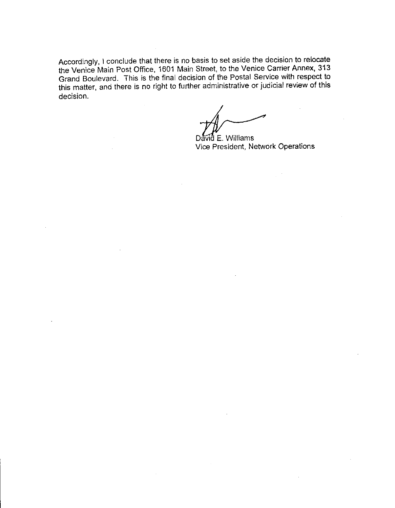Accordingly, 1 conclude that there is no basis to set aside the decision to relocate the Venice Main Post Office, 1601 Main Street, to the Venice Carrier Annex, 313 Grand Boulevard. This is the final decision of the Postal Service with respect to this matter, and there is no right to further administrative or judicial review of this decision.

David E. Williams Vice President, Network Operations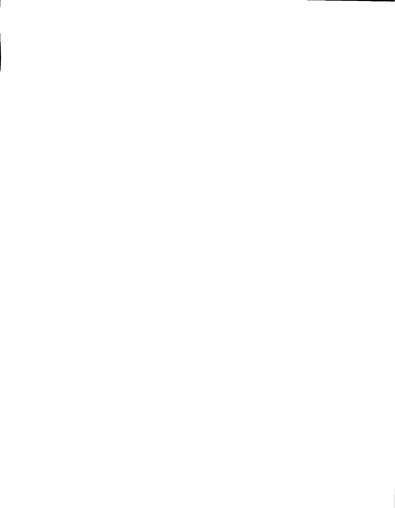$\label{eq:2.1} \frac{1}{\sqrt{2}}\int_{0}^{\infty}\frac{1}{\sqrt{2\pi}}\left(\frac{1}{\sqrt{2\pi}}\right)^{2\alpha} \frac{1}{\sqrt{2\pi}}\int_{0}^{\infty}\frac{1}{\sqrt{2\pi}}\left(\frac{1}{\sqrt{2\pi}}\right)^{\alpha} \frac{1}{\sqrt{2\pi}}\frac{1}{\sqrt{2\pi}}\int_{0}^{\infty}\frac{1}{\sqrt{2\pi}}\frac{1}{\sqrt{2\pi}}\frac{1}{\sqrt{2\pi}}\frac{1}{\sqrt{2\pi}}\frac{1}{\sqrt{2\pi}}\frac{1}{\sqrt{2\pi}}$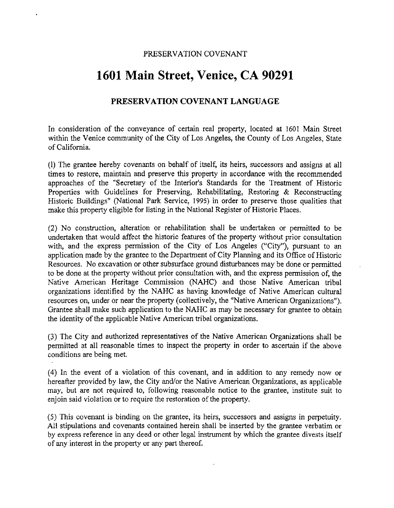### PRESERVATION COVENANT

# **1601 Main Street, Venice, CA 90291**

### **PRESERVATION COVENANT LANGUAGE**

In consideration of the conveyance of certain real property, located at 1601 Main Street within the Venice community of the City of Los Angeles, the County of Los Angeles, State of California.

(1) The grantee hereby covenants on behalf of itself, its heirs, successors and assigns at all times to restore, maintain and preserve this property in accordance with the recommended approaches of the "Secretary of the Interior's Standards for the Treatment of Historic Properties with Guidelines for Preserving, Rehabilitating, Restoring & Reconstructing Historic Buildings" (National Park Service, 1995} in order to preserve those qualities that make this property eligible for listing in the National Register of Historic Places.

(2) No construction, alteration or rehabilitation shall be undertaken or permitted to be undertaken that would affect the historic features of the property without prior consultation with, and the express permission of the City of Los Angeles ("City"), pursuant to an application made by the grantee to the Department of City Planning and its Office of Historic Resources. No excavation or other subsurface ground disturbances may be done or permitted to be done at the property without prior consultation with, and the express permission of, the Native American Heritage Commission (NAHC) and those Native American tribal organizations identified by the NAHC as having knowledge of Native American cultural resources on, under or near the property (collectively, the "Native American Organizations"). Grantee shall make such application to the NAHC as may be necessary for grantee to obtain the identity of the applicable Native American tribal organizations.

(3) The City and authorized representatives of the Native American Organizations shall be permitted at all reasonable times to inspect the property in order to ascertain if the above conditions are being met

(4) In the event of a violation of this covenant, and in addition to any remedy now or hereafter provided by law, the City and/or the Native American Organizations, as applicable may, but are not required to, following reasonable notice to the grantee, institute suit to enjoin said violation or to require the restoration of the property.

(5) This covenant is binding on the grantee, its heirs, successors and assigns in perpetuity. All stipulations and covenants contained herein shall be inserted by the grantee verbatim or by express reference in any deed or other legal instrument by which the grantee divests itself of any interest in the property or any part thereof.